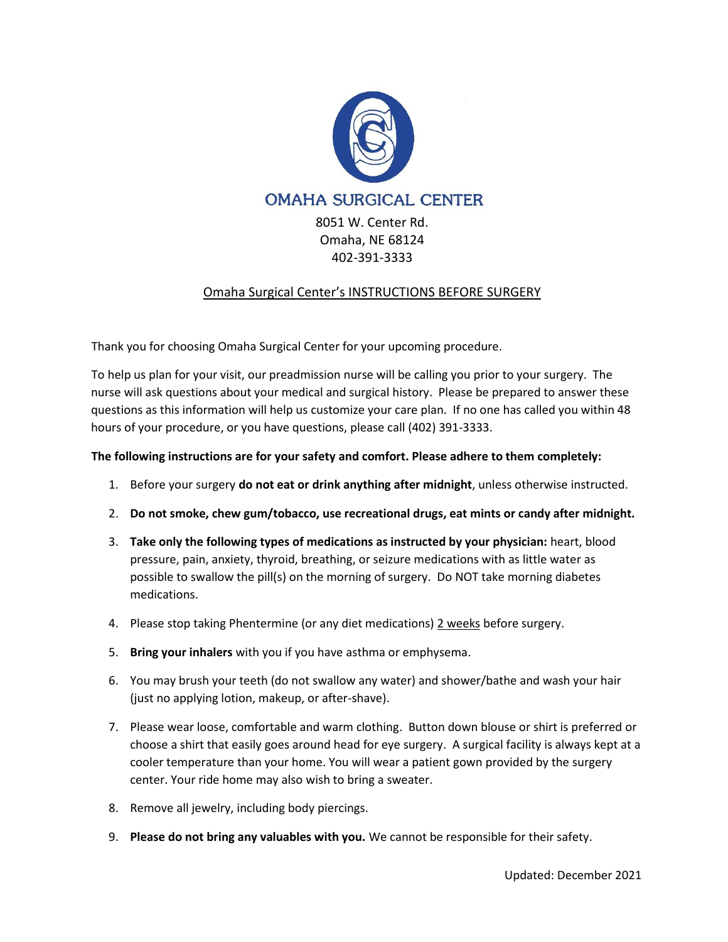

8051 W. Center Rd. Omaha, NE 68124 402-391-3333

# Omaha Surgical Center's INSTRUCTIONS BEFORE SURGERY

Thank you for choosing Omaha Surgical Center for your upcoming procedure.

To help us plan for your visit, our preadmission nurse will be calling you prior to your surgery. The nurse will ask questions about your medical and surgical history. Please be prepared to answer these questions as this information will help us customize your care plan. If no one has called you within 48 hours of your procedure, or you have questions, please call (402) 391-3333.

# **The following instructions are for your safety and comfort. Please adhere to them completely:**

- 1. Before your surgery **do not eat or drink anything after midnight**, unless otherwise instructed.
- 2. **Do not smoke, chew gum/tobacco, use recreational drugs, eat mints or candy after midnight.**
- 3. **Take only the following types of medications as instructed by your physician:** heart, blood pressure, pain, anxiety, thyroid, breathing, or seizure medications with as little water as possible to swallow the pill(s) on the morning of surgery. Do NOT take morning diabetes medications.
- 4. Please stop taking Phentermine (or any diet medications) 2 weeks before surgery.
- 5. **Bring your inhalers** with you if you have asthma or emphysema.
- 6. You may brush your teeth (do not swallow any water) and shower/bathe and wash your hair (just no applying lotion, makeup, or after-shave).
- 7. Please wear loose, comfortable and warm clothing. Button down blouse or shirt is preferred or choose a shirt that easily goes around head for eye surgery. A surgical facility is always kept at a cooler temperature than your home. You will wear a patient gown provided by the surgery center. Your ride home may also wish to bring a sweater.
- 8. Remove all jewelry, including body piercings.
- 9. **Please do not bring any valuables with you.** We cannot be responsible for their safety.